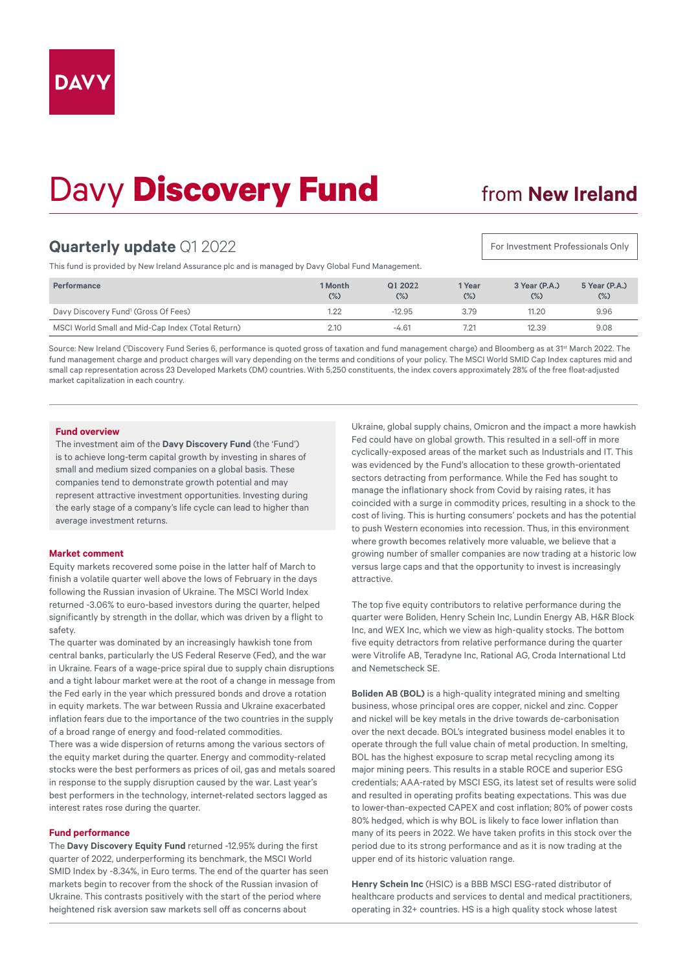# Davy **Discovery Fund**

## from **New Ireland**

For Investment Professionals Only

## **Quarterly update** Q1 2022

This fund is provided by New Ireland Assurance plc and is managed by Davy Global Fund Management.

| <b>Performance</b>                                | 1 Month<br>$(\%)$ | Q1 2022<br>$(\%)$ | 1 Year<br>$(\%)$ | 3 Year (P.A.)<br>$(\%)$ | 5 Year (P.A.)<br>$(\%)$ |
|---------------------------------------------------|-------------------|-------------------|------------------|-------------------------|-------------------------|
| Davy Discovery Fund <sup>1</sup> (Gross Of Fees)  | 1.22              | $-12.95$          | 3.79             | 11.20                   | 9.96                    |
| MSCI World Small and Mid-Cap Index (Total Return) | 2.10              | $-4.61$           | 7.21             | 12.39                   | 9.08                    |

Source: New Ireland ('Discovery Fund Series 6, performance is quoted gross of taxation and fund management charge) and Bloomberg as at 31<sup>st</sup> March 2022. The fund management charge and product charges will vary depending on the terms and conditions of your policy. The MSCI World SMID Cap Index captures mid and small cap representation across 23 Developed Markets (DM) countries. With 5,250 constituents, the index covers approximately 28% of the free float-adjusted market capitalization in each country.

#### **Fund overview**

The investment aim of the **Davy Discovery Fund** (the 'Fund') is to achieve long-term capital growth by investing in shares of small and medium sized companies on a global basis. These companies tend to demonstrate growth potential and may represent attractive investment opportunities. Investing during the early stage of a company's life cycle can lead to higher than average investment returns.

#### **Market comment**

Equity markets recovered some poise in the latter half of March to finish a volatile quarter well above the lows of February in the days following the Russian invasion of Ukraine. The MSCI World Index returned -3.06% to euro-based investors during the quarter, helped significantly by strength in the dollar, which was driven by a flight to safety.

The quarter was dominated by an increasingly hawkish tone from central banks, particularly the US Federal Reserve (Fed), and the war in Ukraine. Fears of a wage-price spiral due to supply chain disruptions and a tight labour market were at the root of a change in message from the Fed early in the year which pressured bonds and drove a rotation in equity markets. The war between Russia and Ukraine exacerbated inflation fears due to the importance of the two countries in the supply of a broad range of energy and food-related commodities. There was a wide dispersion of returns among the various sectors of

the equity market during the quarter. Energy and commodity-related stocks were the best performers as prices of oil, gas and metals soared in response to the supply disruption caused by the war. Last year's best performers in the technology, internet-related sectors lagged as interest rates rose during the quarter.

#### **Fund performance**

The **Davy Discovery Equity Fund** returned -12.95% during the first quarter of 2022, underperforming its benchmark, the MSCI World SMID Index by -8.34%, in Euro terms. The end of the quarter has seen markets begin to recover from the shock of the Russian invasion of Ukraine. This contrasts positively with the start of the period where heightened risk aversion saw markets sell off as concerns about

Ukraine, global supply chains, Omicron and the impact a more hawkish Fed could have on global growth. This resulted in a sell-off in more cyclically-exposed areas of the market such as Industrials and IT. This was evidenced by the Fund's allocation to these growth-orientated sectors detracting from performance. While the Fed has sought to manage the inflationary shock from Covid by raising rates, it has coincided with a surge in commodity prices, resulting in a shock to the cost of living. This is hurting consumers' pockets and has the potential to push Western economies into recession. Thus, in this environment where growth becomes relatively more valuable, we believe that a growing number of smaller companies are now trading at a historic low versus large caps and that the opportunity to invest is increasingly attractive.

The top five equity contributors to relative performance during the quarter were Boliden, Henry Schein Inc, Lundin Energy AB, H&R Block Inc, and WEX Inc, which we view as high-quality stocks. The bottom five equity detractors from relative performance during the quarter were Vitrolife AB, Teradyne Inc, Rational AG, Croda International Ltd and Nemetscheck SE.

**Boliden AB (BOL)** is a high-quality integrated mining and smelting business, whose principal ores are copper, nickel and zinc. Copper and nickel will be key metals in the drive towards de-carbonisation over the next decade. BOL's integrated business model enables it to operate through the full value chain of metal production. In smelting, BOL has the highest exposure to scrap metal recycling among its major mining peers. This results in a stable ROCE and superior ESG credentials; AAA-rated by MSCI ESG, its latest set of results were solid and resulted in operating profits beating expectations. This was due to lower-than-expected CAPEX and cost inflation; 80% of power costs 80% hedged, which is why BOL is likely to face lower inflation than many of its peers in 2022. We have taken profits in this stock over the period due to its strong performance and as it is now trading at the upper end of its historic valuation range.

**Henry Schein Inc** (HSIC) is a BBB MSCI ESG-rated distributor of healthcare products and services to dental and medical practitioners, operating in 32+ countries. HS is a high quality stock whose latest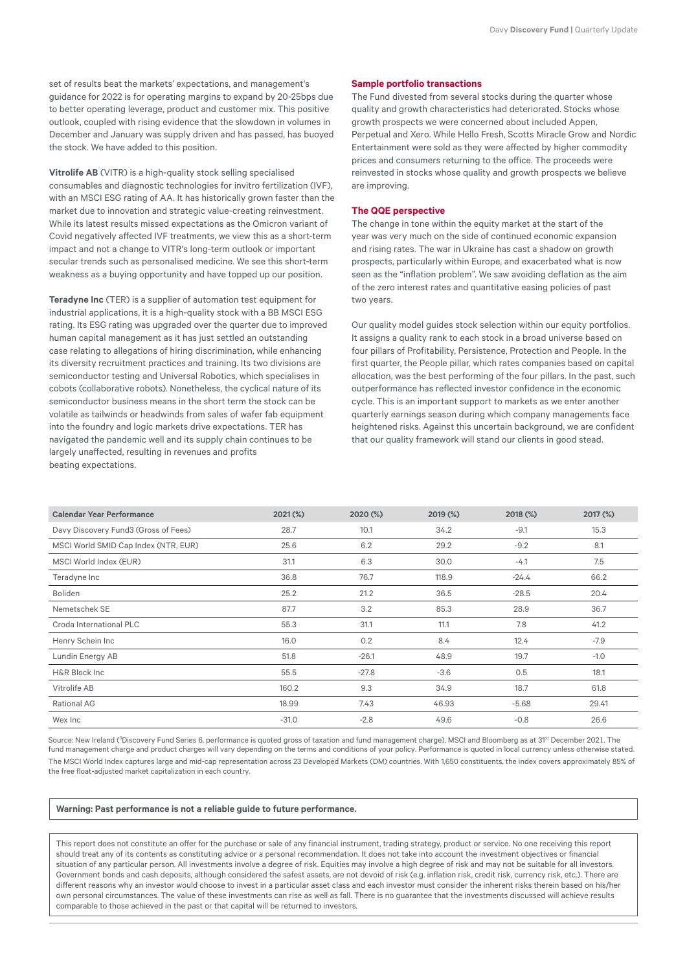set of results beat the markets' expectations, and management's guidance for 2022 is for operating margins to expand by 20-25bps due to better operating leverage, product and customer mix. This positive outlook, coupled with rising evidence that the slowdown in volumes in December and January was supply driven and has passed, has buoyed the stock. We have added to this position.

**Vitrolife AB** (VITR) is a high-quality stock selling specialised consumables and diagnostic technologies for invitro fertilization (IVF), with an MSCI ESG rating of AA. It has historically grown faster than the market due to innovation and strategic value-creating reinvestment. While its latest results missed expectations as the Omicron variant of Covid negatively affected IVF treatments, we view this as a short-term impact and not a change to VITR's long-term outlook or important secular trends such as personalised medicine. We see this short-term weakness as a buying opportunity and have topped up our position.

**Teradyne Inc** (TER) is a supplier of automation test equipment for industrial applications, it is a high-quality stock with a BB MSCI ESG rating. Its ESG rating was upgraded over the quarter due to improved human capital management as it has just settled an outstanding case relating to allegations of hiring discrimination, while enhancing its diversity recruitment practices and training. Its two divisions are semiconductor testing and Universal Robotics, which specialises in cobots (collaborative robots). Nonetheless, the cyclical nature of its semiconductor business means in the short term the stock can be volatile as tailwinds or headwinds from sales of wafer fab equipment into the foundry and logic markets drive expectations. TER has navigated the pandemic well and its supply chain continues to be largely unaffected, resulting in revenues and profits beating expectations.

### **Sample portfolio transactions**

The Fund divested from several stocks during the quarter whose quality and growth characteristics had deteriorated. Stocks whose growth prospects we were concerned about included Appen, Perpetual and Xero. While Hello Fresh, Scotts Miracle Grow and Nordic Entertainment were sold as they were affected by higher commodity prices and consumers returning to the office. The proceeds were reinvested in stocks whose quality and growth prospects we believe are improving.

#### **The QQE perspective**

The change in tone within the equity market at the start of the year was very much on the side of continued economic expansion and rising rates. The war in Ukraine has cast a shadow on growth prospects, particularly within Europe, and exacerbated what is now seen as the "inflation problem". We saw avoiding deflation as the aim of the zero interest rates and quantitative easing policies of past two years.

Our quality model guides stock selection within our equity portfolios. It assigns a quality rank to each stock in a broad universe based on four pillars of Profitability, Persistence, Protection and People. In the first quarter, the People pillar, which rates companies based on capital allocation, was the best performing of the four pillars. In the past, such outperformance has reflected investor confidence in the economic cycle. This is an important support to markets as we enter another quarterly earnings season during which company managements face heightened risks. Against this uncertain background, we are confident that our quality framework will stand our clients in good stead.

| <b>Calendar Year Performance</b>     | $2021$ (%) | 2020 (%) | 2019 (%) | 2018 (%) | 2017 (%) |
|--------------------------------------|------------|----------|----------|----------|----------|
| Davy Discovery Fund3 (Gross of Fees) | 28.7       | 10.1     | 34.2     | $-9.1$   | 15.3     |
| MSCI World SMID Cap Index (NTR, EUR) | 25.6       | 6.2      | 29.2     | $-9.2$   | 8.1      |
| MSCI World Index (EUR)               | 31.1       | 6.3      | 30.0     | $-4.1$   | 7.5      |
| Teradyne Inc                         | 36.8       | 76.7     | 118.9    | $-24.4$  | 66.2     |
| Boliden                              | 25.2       | 21.2     | 36.5     | $-28.5$  | 20.4     |
| Nemetschek SE                        | 87.7       | 3.2      | 85.3     | 28.9     | 36.7     |
| Croda International PLC              | 55.3       | 31.1     | 11.1     | 7.8      | 41.2     |
| Henry Schein Inc                     | 16.0       | 0.2      | 8.4      | 12.4     | $-7.9$   |
| Lundin Energy AB                     | 51.8       | $-26.1$  | 48.9     | 19.7     | $-1.0$   |
| <b>H&amp;R Block Inc</b>             | 55.5       | $-27.8$  | $-3.6$   | 0.5      | 18.1     |
| Vitrolife AB                         | 160.2      | 9.3      | 34.9     | 18.7     | 61.8     |
| Rational AG                          | 18.99      | 7.43     | 46.93    | $-5.68$  | 29.41    |
| Wex Inc                              | $-31.0$    | $-2.8$   | 49.6     | $-0.8$   | 26.6     |

Source: New Ireland (<sup>3</sup>Discovery Fund Series 6, performance is quoted gross of taxation and fund management charge), MSCI and Bloomberg as at 31<sup>st</sup> December 2021. The fund management charge and product charges will vary depending on the terms and conditions of your policy. Performance is quoted in local currency unless otherwise stated. The MSCI World Index captures large and mid-cap representation across 23 Developed Markets (DM) countries. With 1,650 constituents, the index covers approximately 85% of the free float-adjusted market capitalization in each country.

#### **Warning: Past performance is not a reliable guide to future performance.**

This report does not constitute an offer for the purchase or sale of any financial instrument, trading strategy, product or service. No one receiving this report should treat any of its contents as constituting advice or a personal recommendation. It does not take into account the investment objectives or financial situation of any particular person. All investments involve a degree of risk. Equities may involve a high degree of risk and may not be suitable for all investors. Government bonds and cash deposits, although considered the safest assets, are not devoid of risk (e.g. inflation risk, credit risk, currency risk, etc.). There are different reasons why an investor would choose to invest in a particular asset class and each investor must consider the inherent risks therein based on his/her own personal circumstances. The value of these investments can rise as well as fall. There is no guarantee that the investments discussed will achieve results comparable to those achieved in the past or that capital will be returned to investors.